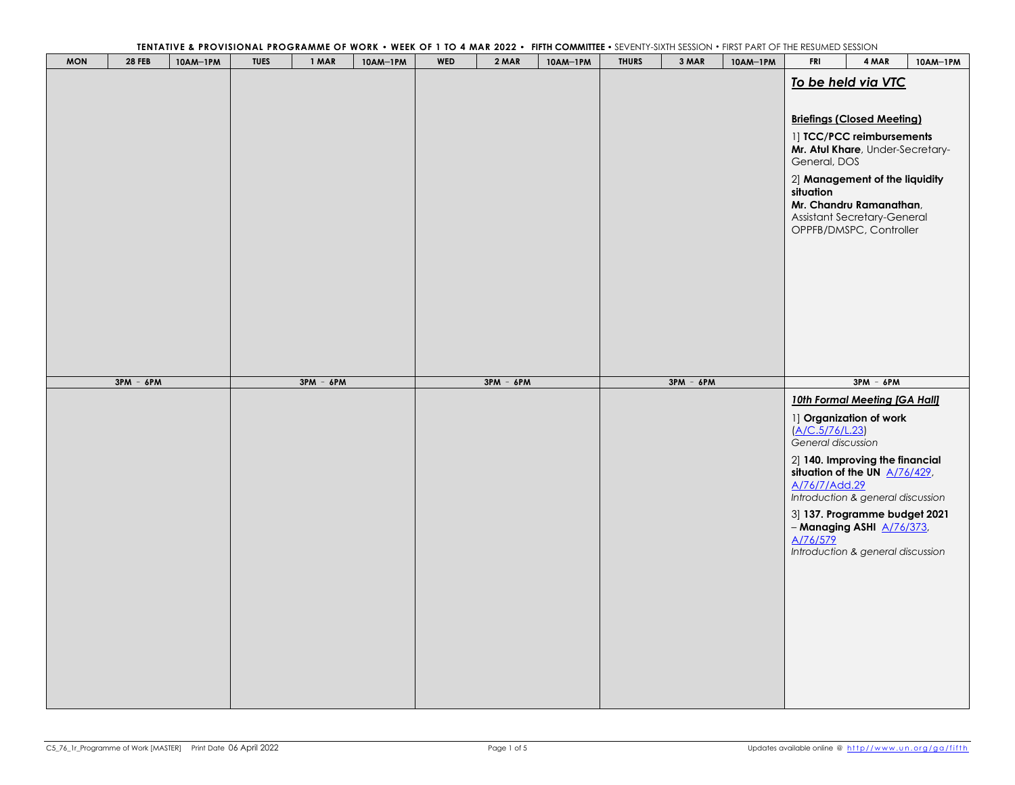| <b>MON</b> | <b>28 FEB</b> | 10AM-1PM | <b>TUES</b> | ILIMIATIVE & I NOVISIONAL I NOGRAMME OF WORK THEER OF FIGHT MAR 2022<br>1 MAR | 10AM-1PM | <b>WED</b> | 2 MAR       | <b>THERE</b> COMMUTER<br>10AM-1PM | <b>THURS</b> | 3 MAR       | 10AM-1PM | <b>JEVERTI SIATITULOUS CRANICI TANTOT THE NEJURIED JEJJION</b><br><b>FRI</b> | 4 MAR                             | 10AM-1PM |
|------------|---------------|----------|-------------|-------------------------------------------------------------------------------|----------|------------|-------------|-----------------------------------|--------------|-------------|----------|------------------------------------------------------------------------------|-----------------------------------|----------|
|            |               |          |             |                                                                               |          |            |             |                                   |              |             |          |                                                                              |                                   |          |
|            |               |          |             |                                                                               |          |            |             |                                   |              |             |          |                                                                              | To be held via VTC                |          |
|            |               |          |             |                                                                               |          |            |             |                                   |              |             |          |                                                                              |                                   |          |
|            |               |          |             |                                                                               |          |            |             |                                   |              |             |          |                                                                              |                                   |          |
|            |               |          |             |                                                                               |          |            |             |                                   |              |             |          |                                                                              | <b>Briefings (Closed Meeting)</b> |          |
|            |               |          |             |                                                                               |          |            |             |                                   |              |             |          |                                                                              | 1] TCC/PCC reimbursements         |          |
|            |               |          |             |                                                                               |          |            |             |                                   |              |             |          |                                                                              | Mr. Atul Khare, Under-Secretary-  |          |
|            |               |          |             |                                                                               |          |            |             |                                   |              |             |          | General, DOS                                                                 |                                   |          |
|            |               |          |             |                                                                               |          |            |             |                                   |              |             |          |                                                                              | 2] Management of the liquidity    |          |
|            |               |          |             |                                                                               |          |            |             |                                   |              |             |          | situation                                                                    |                                   |          |
|            |               |          |             |                                                                               |          |            |             |                                   |              |             |          |                                                                              | Mr. Chandru Ramanathan,           |          |
|            |               |          |             |                                                                               |          |            |             |                                   |              |             |          |                                                                              | Assistant Secretary-General       |          |
|            |               |          |             |                                                                               |          |            |             |                                   |              |             |          |                                                                              | OPPFB/DMSPC, Controller           |          |
|            |               |          |             |                                                                               |          |            |             |                                   |              |             |          |                                                                              |                                   |          |
|            |               |          |             |                                                                               |          |            |             |                                   |              |             |          |                                                                              |                                   |          |
|            |               |          |             |                                                                               |          |            |             |                                   |              |             |          |                                                                              |                                   |          |
|            |               |          |             |                                                                               |          |            |             |                                   |              |             |          |                                                                              |                                   |          |
|            |               |          |             |                                                                               |          |            |             |                                   |              |             |          |                                                                              |                                   |          |
|            |               |          |             |                                                                               |          |            |             |                                   |              |             |          |                                                                              |                                   |          |
|            |               |          |             |                                                                               |          |            |             |                                   |              |             |          |                                                                              |                                   |          |
|            |               |          |             |                                                                               |          |            |             |                                   |              |             |          |                                                                              |                                   |          |
|            |               |          |             |                                                                               |          |            |             |                                   |              |             |          |                                                                              |                                   |          |
|            |               |          |             |                                                                               |          |            |             |                                   |              |             |          |                                                                              |                                   |          |
|            | $3PM - 6PM$   |          |             | $3PM - 6PM$                                                                   |          |            | $3PM - 6PM$ |                                   |              | $3PM - 6PM$ |          |                                                                              | $3PM - 6PM$                       |          |
|            |               |          |             |                                                                               |          |            |             |                                   |              |             |          |                                                                              | 10th Formal Meeting [GA Hall]     |          |
|            |               |          |             |                                                                               |          |            |             |                                   |              |             |          |                                                                              |                                   |          |
|            |               |          |             |                                                                               |          |            |             |                                   |              |             |          |                                                                              | 1] Organization of work           |          |
|            |               |          |             |                                                                               |          |            |             |                                   |              |             |          | A/C.5/76/L.23)<br>General discussion                                         |                                   |          |
|            |               |          |             |                                                                               |          |            |             |                                   |              |             |          |                                                                              |                                   |          |
|            |               |          |             |                                                                               |          |            |             |                                   |              |             |          |                                                                              | 2] 140. Improving the financial   |          |
|            |               |          |             |                                                                               |          |            |             |                                   |              |             |          |                                                                              | situation of the UN $A/76/429$ ,  |          |
|            |               |          |             |                                                                               |          |            |             |                                   |              |             |          | A/76/7/Add.29                                                                | Introduction & general discussion |          |
|            |               |          |             |                                                                               |          |            |             |                                   |              |             |          |                                                                              |                                   |          |
|            |               |          |             |                                                                               |          |            |             |                                   |              |             |          |                                                                              | 3] 137. Programme budget 2021     |          |
|            |               |          |             |                                                                               |          |            |             |                                   |              |             |          |                                                                              | $-$ Managing ASHI $A/76/373$ ,    |          |
|            |               |          |             |                                                                               |          |            |             |                                   |              |             |          | A/76/579                                                                     | Introduction & general discussion |          |
|            |               |          |             |                                                                               |          |            |             |                                   |              |             |          |                                                                              |                                   |          |
|            |               |          |             |                                                                               |          |            |             |                                   |              |             |          |                                                                              |                                   |          |
|            |               |          |             |                                                                               |          |            |             |                                   |              |             |          |                                                                              |                                   |          |
|            |               |          |             |                                                                               |          |            |             |                                   |              |             |          |                                                                              |                                   |          |
|            |               |          |             |                                                                               |          |            |             |                                   |              |             |          |                                                                              |                                   |          |
|            |               |          |             |                                                                               |          |            |             |                                   |              |             |          |                                                                              |                                   |          |
|            |               |          |             |                                                                               |          |            |             |                                   |              |             |          |                                                                              |                                   |          |
|            |               |          |             |                                                                               |          |            |             |                                   |              |             |          |                                                                              |                                   |          |
|            |               |          |             |                                                                               |          |            |             |                                   |              |             |          |                                                                              |                                   |          |
|            |               |          |             |                                                                               |          |            |             |                                   |              |             |          |                                                                              |                                   |          |
|            |               |          |             |                                                                               |          |            |             |                                   |              |             |          |                                                                              |                                   |          |
|            |               |          |             |                                                                               |          |            |             |                                   |              |             |          |                                                                              |                                   |          |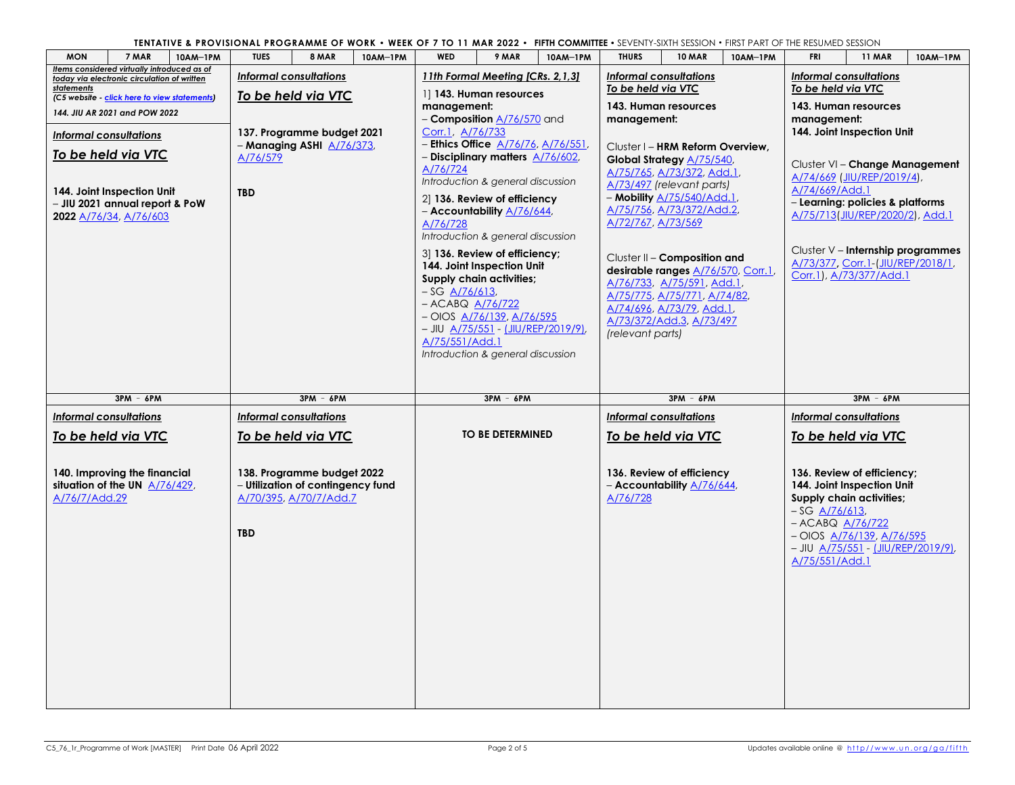**TENTATIVE & PROVISIONAL PROGRAMME OF WORK** • **WEEK OF 7 TO 11 MAR 2022** • **[FIFTH COMMITTEE](http://www.un.org/ga/fifth)** • SEVENTY-SIXTH SESSION • FIRST PART OF THE RESUMED SESSION

| <b>MON</b><br>7 MAR<br>10AM-1PM                                                                                                                           | <b>TUES</b><br>8 MAR                                                                      | 10AM-1PM | <b>WED</b>                                                                  | 9 MAR                                                                                                                                                                                                                                                                                                             | 10AM-1PM | .<br><u>JE V EINTH JIMITI JEJJIOT</u><br><b>THURS</b>                                                                                                                                                                                                                                                | <b>10 MAR</b> | 10AM-1PM | <b>FRI</b>                                                                                                                                              | <b>11 MAR</b>                                                                                                                                                            | 10AM-1PM |  |  |
|-----------------------------------------------------------------------------------------------------------------------------------------------------------|-------------------------------------------------------------------------------------------|----------|-----------------------------------------------------------------------------|-------------------------------------------------------------------------------------------------------------------------------------------------------------------------------------------------------------------------------------------------------------------------------------------------------------------|----------|------------------------------------------------------------------------------------------------------------------------------------------------------------------------------------------------------------------------------------------------------------------------------------------------------|---------------|----------|---------------------------------------------------------------------------------------------------------------------------------------------------------|--------------------------------------------------------------------------------------------------------------------------------------------------------------------------|----------|--|--|
| Items considered virtually introduced as of<br>today via electronic circulation of written                                                                | <b>Informal consultations</b>                                                             |          |                                                                             | 11th Formal Meeting [CRs. 2, 1, 3]                                                                                                                                                                                                                                                                                |          | Informal consultations                                                                                                                                                                                                                                                                               |               |          |                                                                                                                                                         | <b>Informal consultations</b>                                                                                                                                            |          |  |  |
| <b>statements</b><br>(C5 website - click here to view statements)<br>144. JIU AR 2021 and POW 2022<br><b>Informal consultations</b><br>To be held via VTC | To be held via VTC<br>137. Programme budget 2021<br>- Managing ASHI A/76/373,<br>A/76/579 |          | management:<br>Corr.1, A/76/733<br>A/76/724                                 | 11 143. Human resources<br>- <b>Composition</b> A/76/570 and<br>- Ethics Office A/76/76, A/76/551,<br>- Disciplinary matters A/76/602,<br>Introduction & general discussion                                                                                                                                       |          | To be held via VTC<br>143. Human resources<br>management:<br>Cluster I - HRM Reform Overview,<br>Global Strategy A/75/540,<br>A/75/765, A/73/372, Add.1,<br>A/73/497 (relevant parts)                                                                                                                |               |          | To be held via VTC<br>143. Human resources<br>management:<br>144. Joint Inspection Unit<br>Cluster VI - Change Management<br>A/74/669 (JIU/REP/2019/4), |                                                                                                                                                                          |          |  |  |
| 144. Joint Inspection Unit<br>- JIU 2021 annual report & PoW<br>2022 A/76/34, A/76/603                                                                    | <b>TBD</b>                                                                                |          | A/76/728<br>$-SG$ $A/76/613$ ,<br>- ACABQ <u>A/76/722</u><br>A/75/551/Add.1 | 2] 136. Review of efficiency<br>– Accountability <u>A/76/644</u> ,<br>Introduction & general discussion<br>3 136. Review of efficiency;<br>144. Joint Inspection Unit<br>Supply chain activities;<br>$-$ OIOS $A/76/139$ , $A/76/595$<br>$-$ JIU A/75/551 - (JIU/REP/2019/9)<br>Introduction & general discussion |          | - Mobility A/75/540/Add.1,<br>A/75/756, A/73/372/Add.2,<br>A/72/767, A/73/569<br>Cluster II - Composition and<br>desirable ranges A/76/570, Corr.1<br><u>A/76/733, A/75/591, Add.1,</u><br>A/75/775, A/75/771, A/74/82,<br>A/74/696, A/73/79, Add.1,<br>A/73/372/Add.3, A/73/497<br>(relevant parts) |               |          | A/74/669/Add.1                                                                                                                                          | - Learning: policies & platforms<br>A/75/713(JIU/REP/2020/2), Add.1<br>Cluster V - Internship programmes<br>A/73/377, Corr.1-(JIU/REP/2018/1,<br>Corr.1), A/73/377/Add.1 |          |  |  |
|                                                                                                                                                           |                                                                                           |          |                                                                             |                                                                                                                                                                                                                                                                                                                   |          |                                                                                                                                                                                                                                                                                                      |               |          |                                                                                                                                                         |                                                                                                                                                                          |          |  |  |
| $3PM - 6PM$                                                                                                                                               | $3PM - 6PM$                                                                               |          |                                                                             | $3PM - 6PM$                                                                                                                                                                                                                                                                                                       |          |                                                                                                                                                                                                                                                                                                      | $3PM - 6PM$   |          |                                                                                                                                                         | $3PM - 6PM$                                                                                                                                                              |          |  |  |
| <b>Informal consultations</b><br>To be held via VTC                                                                                                       | <b>Informal consultations</b><br>To be held via VTC                                       |          |                                                                             | <b>TO BE DETERMINED</b>                                                                                                                                                                                                                                                                                           |          | <b>Informal consultations</b><br>To be held via VTC                                                                                                                                                                                                                                                  |               |          |                                                                                                                                                         | <b>Informal consultations</b><br>To be held via VTC                                                                                                                      |          |  |  |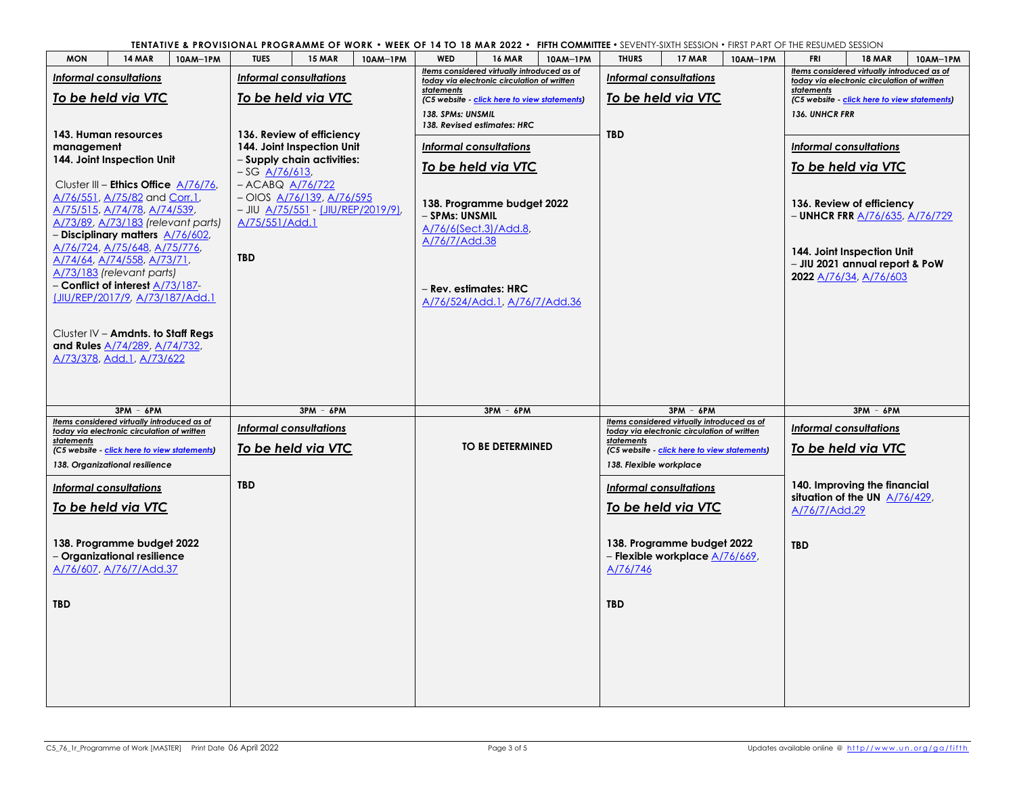**TENTATIVE & PROVISIONAL PROGRAMME OF WORK** • **WEEK OF 14 TO 18 MAR 2022** • **[FIFTH COMMITTEE](http://www.un.org/ga/fifth)** • SEVENTY-SIXTH SESSION • FIRST PART OF THE RESUMED SESSION

| <b>MON</b>                                                                     | <b>14 MAR</b> | 10AM-1PM | <b>TUES</b>          | <b>15 MAR</b>                                                          | 10AM-1PM | <b>WED</b>            | <b>16 MAR</b>                                                                              | 10AM-1PM | <b>THURS</b>            | <b>17 MAR</b>                                                | 10AM-1PM | <b>FRI</b>                                                 | <b>18 MAR</b>                                                                              | 10AM-1PM |  |  |
|--------------------------------------------------------------------------------|---------------|----------|----------------------|------------------------------------------------------------------------|----------|-----------------------|--------------------------------------------------------------------------------------------|----------|-------------------------|--------------------------------------------------------------|----------|------------------------------------------------------------|--------------------------------------------------------------------------------------------|----------|--|--|
| <b>Informal consultations</b>                                                  |               |          |                      | <b>Informal consultations</b>                                          |          |                       | Items considered virtually introduced as of<br>today via electronic circulation of written |          |                         | <b>Informal consultations</b>                                |          |                                                            | Items considered virtually introduced as of<br>today via electronic circulation of written |          |  |  |
| To be held via VTC                                                             |               |          | To be held via VTC   |                                                                        |          | statements            | (C5 website - click here to view statements)                                               |          |                         | To be held via VTC                                           |          | statements<br>(C5 website - click here to view statements) |                                                                                            |          |  |  |
|                                                                                |               |          |                      |                                                                        |          | 138. SPMs: UNSMIL     |                                                                                            |          |                         |                                                              |          | 136. UNHCR FRR                                             |                                                                                            |          |  |  |
| 143. Human resources                                                           |               |          |                      | 136. Review of efficiency                                              |          |                       | 138. Revised estimates: HRC                                                                |          | <b>TBD</b>              |                                                              |          |                                                            |                                                                                            |          |  |  |
| management                                                                     |               |          |                      | 144. Joint Inspection Unit                                             |          |                       | <b>Informal consultations</b>                                                              |          |                         |                                                              |          |                                                            | <b>Informal consultations</b>                                                              |          |  |  |
| 144. Joint Inspection Unit                                                     |               |          | $-SG$ A/76/613.      | - Supply chain activities:                                             |          |                       | To be held via VTC                                                                         |          |                         |                                                              |          |                                                            | To be held via VTC                                                                         |          |  |  |
| Cluster III - Ethics Office $A/76/76$ ,                                        |               |          | $-$ ACABQ $A/76/722$ |                                                                        |          |                       |                                                                                            |          |                         |                                                              |          |                                                            |                                                                                            |          |  |  |
| A/76/551, A/75/82 and Corr.1,<br>A/75/515, A/74/78, A/74/539,                  |               |          |                      | $-$ OIOS $A/76/139$ , $A/76/595$<br>- JIU A/75/551 - (JIU/REP/2019/9), |          |                       | 138. Programme budget 2022                                                                 |          |                         |                                                              |          |                                                            | 136. Review of efficiency                                                                  |          |  |  |
| A/73/89, A/73/183 (relevant parts)                                             |               |          | A/75/551/Add.1       |                                                                        |          | - SPMs: UNSMIL        | A/76/6(Sect.3)/Add.8,                                                                      |          |                         |                                                              |          |                                                            | - UNHCR FRR A/76/635, A/76/729                                                             |          |  |  |
| - Disciplinary matters A/76/602,<br>A/76/724, A/75/648, A/75/776,              |               |          |                      |                                                                        |          | A/76/7/Add.38         |                                                                                            |          |                         |                                                              |          |                                                            |                                                                                            |          |  |  |
| A/74/64, A/74/558, A/73/71,                                                    |               |          | <b>TBD</b>           |                                                                        |          |                       |                                                                                            |          |                         |                                                              |          |                                                            | 144. Joint Inspection Unit<br>- JIU 2021 annual report & PoW                               |          |  |  |
| A/73/183 (relevant parts)<br>- Conflict of interest A/73/187-                  |               |          |                      |                                                                        |          |                       |                                                                                            |          |                         |                                                              |          |                                                            | 2022 A/76/34, A/76/603                                                                     |          |  |  |
| [JIU/REP/2017/9, A/73/187/Add.1                                                |               |          |                      |                                                                        |          | - Rev. estimates: HRC | A/76/524/Add.1, A/76/7/Add.36                                                              |          |                         |                                                              |          |                                                            |                                                                                            |          |  |  |
|                                                                                |               |          |                      |                                                                        |          |                       |                                                                                            |          |                         |                                                              |          |                                                            |                                                                                            |          |  |  |
| Cluster IV $-$ Amdnts. to Staff Regs                                           |               |          |                      |                                                                        |          |                       |                                                                                            |          |                         |                                                              |          |                                                            |                                                                                            |          |  |  |
| and Rules A/74/289, A/74/732,<br>A/73/378, Add.1, A/73/622                     |               |          |                      |                                                                        |          |                       |                                                                                            |          |                         |                                                              |          |                                                            |                                                                                            |          |  |  |
|                                                                                |               |          |                      |                                                                        |          |                       |                                                                                            |          |                         |                                                              |          |                                                            |                                                                                            |          |  |  |
|                                                                                |               |          |                      |                                                                        |          |                       |                                                                                            |          |                         |                                                              |          |                                                            |                                                                                            |          |  |  |
|                                                                                |               |          |                      |                                                                        |          |                       |                                                                                            |          |                         |                                                              |          |                                                            |                                                                                            |          |  |  |
|                                                                                | $3PM - 6PM$   |          |                      | $3PM - 6PM$                                                            |          |                       | $3PM - 6PM$                                                                                |          |                         | $3PM - 6PM$                                                  |          |                                                            | $3PM - 6PM$                                                                                |          |  |  |
| Items considered virtually introduced as of                                    |               |          |                      | <b>Informal consultations</b>                                          |          |                       |                                                                                            |          |                         | Items considered virtually introduced as of                  |          |                                                            | <b>Informal consultations</b>                                                              |          |  |  |
| today via electronic circulation of written<br>statements                      |               |          |                      |                                                                        |          |                       | <b>TO BE DETERMINED</b>                                                                    |          | statements              | today via electronic circulation of written                  |          |                                                            |                                                                                            |          |  |  |
| (C5 website - click here to view statements)<br>138. Organizational resilience |               |          |                      | To be held via VTC                                                     |          |                       |                                                                                            |          | 138. Flexible workplace | (C5 website - click here to view statements)                 |          |                                                            | To be held via VTC                                                                         |          |  |  |
|                                                                                |               |          | <b>TBD</b>           |                                                                        |          |                       |                                                                                            |          |                         |                                                              |          |                                                            | 140. Improving the financial                                                               |          |  |  |
| <b>Informal consultations</b>                                                  |               |          |                      |                                                                        |          |                       |                                                                                            |          |                         | <b>Informal consultations</b>                                |          |                                                            | situation of the UN $A/76/429$ ,                                                           |          |  |  |
| To be held via VTC                                                             |               |          |                      |                                                                        |          |                       |                                                                                            |          |                         | To be held via VTC                                           |          | A/76/7/Add.29                                              |                                                                                            |          |  |  |
|                                                                                |               |          |                      |                                                                        |          |                       |                                                                                            |          |                         |                                                              |          |                                                            |                                                                                            |          |  |  |
| 138. Programme budget 2022<br>- Organizational resilience                      |               |          |                      |                                                                        |          |                       |                                                                                            |          |                         | 138. Programme budget 2022<br>- Flexible workplace A/76/669, |          | <b>TBD</b>                                                 |                                                                                            |          |  |  |
| A/76/607, A/76/7/Add.37                                                        |               |          |                      |                                                                        |          |                       |                                                                                            |          | A/76/746                |                                                              |          |                                                            |                                                                                            |          |  |  |
|                                                                                |               |          |                      |                                                                        |          |                       |                                                                                            |          |                         |                                                              |          |                                                            |                                                                                            |          |  |  |
| <b>TBD</b>                                                                     |               |          |                      |                                                                        |          |                       |                                                                                            |          | <b>TBD</b>              |                                                              |          |                                                            |                                                                                            |          |  |  |
|                                                                                |               |          |                      |                                                                        |          |                       |                                                                                            |          |                         |                                                              |          |                                                            |                                                                                            |          |  |  |
|                                                                                |               |          |                      |                                                                        |          |                       |                                                                                            |          |                         |                                                              |          |                                                            |                                                                                            |          |  |  |
|                                                                                |               |          |                      |                                                                        |          |                       |                                                                                            |          |                         |                                                              |          |                                                            |                                                                                            |          |  |  |
|                                                                                |               |          |                      |                                                                        |          |                       |                                                                                            |          |                         |                                                              |          |                                                            |                                                                                            |          |  |  |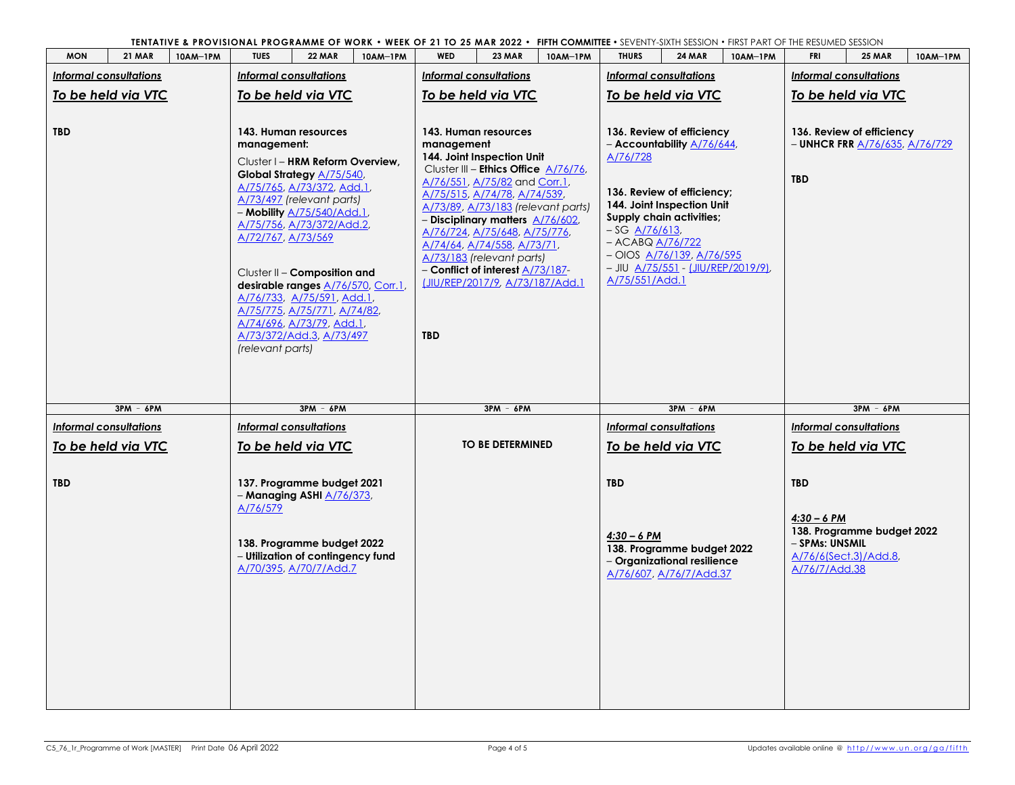**TENTATIVE & PROVISIONAL PROGRAMME OF WORK** • **WEEK OF 21 TO 25 MAR 2022** • **[FIFTH COMMITTEE](http://www.un.org/ga/fifth)** • SEVENTY-SIXTH SESSION • FIRST PART OF THE RESUMED SESSION

| <b>MON</b> | <b>21 MAR</b>                 | 10AM-1PM | <b>TUES</b>                                                                                                                                                                                                                                                                                                                                                                                                                                                       | <b>22 MAR</b>                                                                                                                                                | 10AM-1PM | WED                                                                                                                                                                                                                                                                                                                                                                                                                                                          | <b>23 MAR</b>                 | 10AM-1PM | <b>THURS</b>                                                                                                                                                                                                                                                                                                             | <b>24 MAR</b>                                                                        | 10AM-1PM | FRI                                                                       | <b>25 MAR</b>                                       | 10AM-1PM |  |
|------------|-------------------------------|----------|-------------------------------------------------------------------------------------------------------------------------------------------------------------------------------------------------------------------------------------------------------------------------------------------------------------------------------------------------------------------------------------------------------------------------------------------------------------------|--------------------------------------------------------------------------------------------------------------------------------------------------------------|----------|--------------------------------------------------------------------------------------------------------------------------------------------------------------------------------------------------------------------------------------------------------------------------------------------------------------------------------------------------------------------------------------------------------------------------------------------------------------|-------------------------------|----------|--------------------------------------------------------------------------------------------------------------------------------------------------------------------------------------------------------------------------------------------------------------------------------------------------------------------------|--------------------------------------------------------------------------------------|----------|---------------------------------------------------------------------------|-----------------------------------------------------|----------|--|
|            | <b>Informal consultations</b> |          |                                                                                                                                                                                                                                                                                                                                                                                                                                                                   | <b>Informal consultations</b>                                                                                                                                |          |                                                                                                                                                                                                                                                                                                                                                                                                                                                              | <b>Informal consultations</b> |          |                                                                                                                                                                                                                                                                                                                          | <b>Informal consultations</b>                                                        |          |                                                                           | <b>Informal consultations</b>                       |          |  |
|            |                               |          | To be held via VTC                                                                                                                                                                                                                                                                                                                                                                                                                                                |                                                                                                                                                              |          |                                                                                                                                                                                                                                                                                                                                                                                                                                                              |                               |          |                                                                                                                                                                                                                                                                                                                          |                                                                                      |          | To be held via VTC                                                        |                                                     |          |  |
| <b>TBD</b> | To be held via VTC            |          | 143. Human resources<br>management:<br>Cluster I - HRM Reform Overview,<br>Global Strategy A/75/540,<br>A/75/765, A/73/372, Add.1,<br>A/73/497 (relevant parts)<br>- Mobility A/75/540/Add.1,<br>A/75/756, A/73/372/Add.2,<br>A/72/767, A/73/569<br>Cluster II - Composition and<br>desirable ranges A/76/570, Corr.1,<br>A/76/733, A/75/591, Add.1,<br>A/75/775, A/75/771, A/74/82,<br>A/74/696, A/73/79, Add.1,<br>A/73/372/Add.3, A/73/497<br>(relevant parts) |                                                                                                                                                              |          | To be held via VTC<br>143. Human resources<br>management<br>144. Joint Inspection Unit<br>Cluster III - Ethics Office A/76/76,<br>A/76/551, A/75/82 and Corr.1,<br>A/75/515, A/74/78, A/74/539,<br>A/73/89, A/73/183 (relevant parts)<br>- Disciplinary matters A/76/602,<br>A/76/724, A/75/648, A/75/776,<br>A/74/64, A/74/558, A/73/71,<br>A/73/183 (relevant parts)<br>- Conflict of interest A/73/187-<br>(JIU/REP/2017/9, A/73/187/Add.1)<br><b>TBD</b> |                               |          | To be held via VTC<br>136. Review of efficiency<br>- Accountability A/76/644,<br>A/76/728<br>136. Review of efficiency;<br>144. Joint Inspection Unit<br>Supply chain activities;<br>$-SG$ A/76/613,<br>$-$ ACABQ $A/76/722$<br>$-$ OIOS $A/76/139$ , $A/76/595$<br>- JIU A/75/551 - (JIU/REP/2019/9),<br>A/75/551/Add.1 |                                                                                      |          | 136. Review of efficiency<br>- UNHCR FRR A/76/635, A/76/729<br><b>TBD</b> |                                                     |          |  |
|            | $3PM - 6PM$                   |          |                                                                                                                                                                                                                                                                                                                                                                                                                                                                   | $3PM - 6PM$                                                                                                                                                  |          |                                                                                                                                                                                                                                                                                                                                                                                                                                                              | $3PM - 6PM$                   |          |                                                                                                                                                                                                                                                                                                                          | $3PM - 6PM$                                                                          |          |                                                                           | $3PM - 6PM$                                         |          |  |
|            | <b>Informal consultations</b> |          |                                                                                                                                                                                                                                                                                                                                                                                                                                                                   | <b>Informal consultations</b>                                                                                                                                |          |                                                                                                                                                                                                                                                                                                                                                                                                                                                              |                               |          |                                                                                                                                                                                                                                                                                                                          | <b>Informal consultations</b>                                                        |          |                                                                           | <b>Informal consultations</b>                       |          |  |
|            | To be held via VTC            |          |                                                                                                                                                                                                                                                                                                                                                                                                                                                                   | To be held via VTC                                                                                                                                           |          |                                                                                                                                                                                                                                                                                                                                                                                                                                                              | <b>TO BE DETERMINED</b>       |          |                                                                                                                                                                                                                                                                                                                          | To be held via VTC                                                                   |          |                                                                           | To be held via VTC                                  |          |  |
| <b>TBD</b> |                               |          | A/76/579                                                                                                                                                                                                                                                                                                                                                                                                                                                          | 137. Programme budget 2021<br>- Managing ASHI <u>A/76/373</u> ,<br>138. Programme budget 2022<br>- Utilization of contingency fund<br>A/70/395, A/70/7/Add.7 |          |                                                                                                                                                                                                                                                                                                                                                                                                                                                              |                               |          | <b>TBD</b><br>$4:30 - 6$ PM                                                                                                                                                                                                                                                                                              | 138. Programme budget 2022<br>- Organizational resilience<br>A/76/607, A/76/7/Add.37 |          | <b>TBD</b><br>$4:30 - 6$ PM<br>- SPMs: UNSMIL<br>A/76/7/Add.38            | 138. Programme budget 2022<br>A/76/6(Sect.3)/Add.8, |          |  |